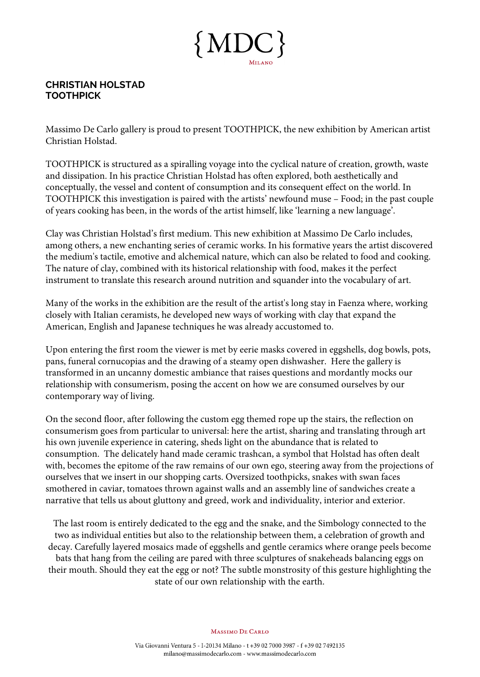

## **CHRISTIAN HOLSTAD TOOTHPICK**

Massimo De Carlo gallery is proud to present TOOTHPICK, the new exhibition by American artist Christian Holstad.

TOOTHPICK is structured as a spiralling voyage into the cyclical nature of creation, growth, waste and dissipation. In his practice Christian Holstad has often explored, both aesthetically and conceptually, the vessel and content of consumption and its consequent effect on the world. In TOOTHPICK this investigation is paired with the artists' newfound muse – Food; in the past couple of years cooking has been, in the words of the artist himself, like 'learning a new language'.

Clay was Christian Holstad's first medium. This new exhibition at Massimo De Carlo includes, among others, a new enchanting series of ceramic works. In his formative years the artist discovered the medium's tactile, emotive and alchemical nature, which can also be related to food and cooking. The nature of clay, combined with its historical relationship with food, makes it the perfect instrument to translate this research around nutrition and squander into the vocabulary of art.

Many of the works in the exhibition are the result of the artist's long stay in Faenza where, working closely with Italian ceramists, he developed new ways of working with clay that expand the American, English and Japanese techniques he was already accustomed to.

Upon entering the first room the viewer is met by eerie masks covered in eggshells, dog bowls, pots, pans, funeral cornucopias and the drawing of a steamy open dishwasher. Here the gallery is transformed in an uncanny domestic ambiance that raises questions and mordantly mocks our relationship with consumerism, posing the accent on how we are consumed ourselves by our contemporary way of living.

On the second floor, after following the custom egg themed rope up the stairs, the reflection on consumerism goes from particular to universal: here the artist, sharing and translating through art his own juvenile experience in catering, sheds light on the abundance that is related to consumption. The delicately hand made ceramic trashcan, a symbol that Holstad has often dealt with, becomes the epitome of the raw remains of our own ego, steering away from the projections of ourselves that we insert in our shopping carts. Oversized toothpicks, snakes with swan faces smothered in caviar, tomatoes thrown against walls and an assembly line of sandwiches create a narrative that tells us about gluttony and greed, work and individuality, interior and exterior.

The last room is entirely dedicated to the egg and the snake, and the Simbology connected to the two as individual entities but also to the relationship between them, a celebration of growth and decay. Carefully layered mosaics made of eggshells and gentle ceramics where orange peels become bats that hang from the ceiling are pared with three sculptures of snakeheads balancing eggs on their mouth. Should they eat the egg or not? The subtle monstrosity of this gesture highlighting the state of our own relationship with the earth.

**MASSIMO DE CARLO**